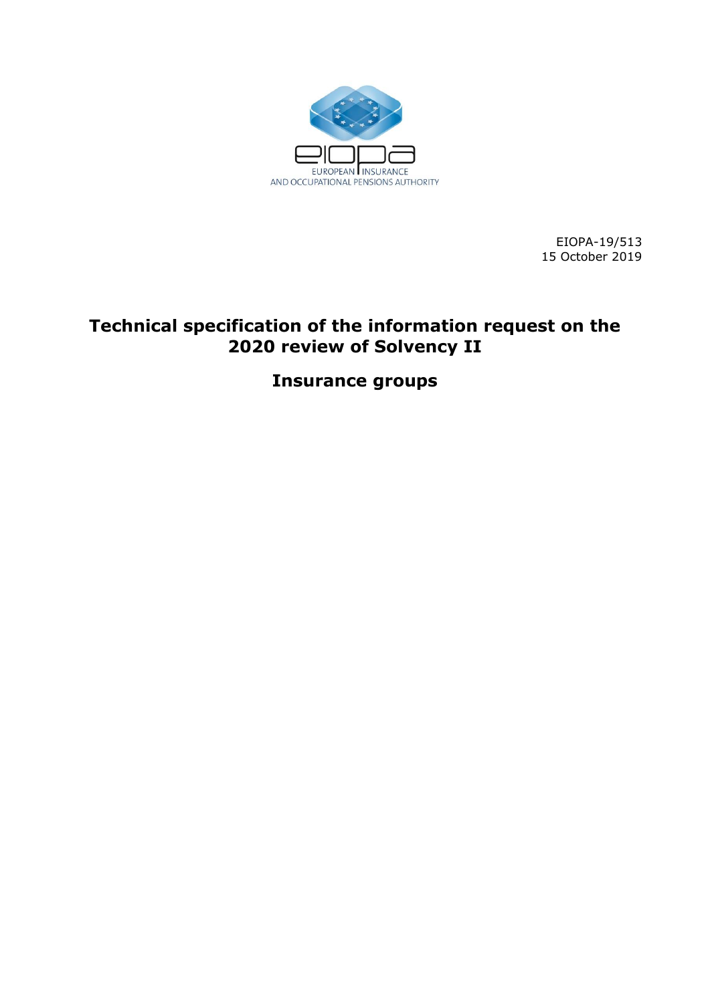

EIOPA-19/513 15 October 2019

# **Technical specification of the information request on the 2020 review of Solvency II**

**Insurance groups**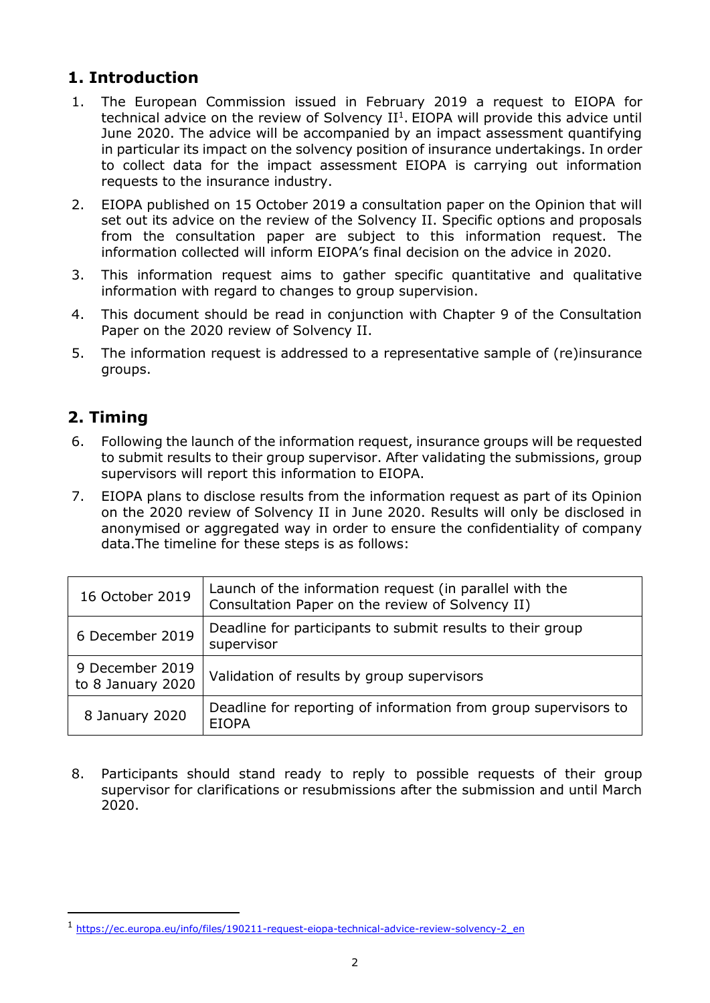# **1. Introduction**

- 1. The European Commission issued in February 2019 a request to EIOPA for technical advice on the review of Solvency  $II<sup>1</sup>$ . EIOPA will provide this advice until June 2020. The advice will be accompanied by an impact assessment quantifying in particular its impact on the solvency position of insurance undertakings. In order to collect data for the impact assessment EIOPA is carrying out information requests to the insurance industry.
- 2. EIOPA published on 15 October 2019 a consultation paper on the Opinion that will set out its advice on the review of the Solvency II. Specific options and proposals from the consultation paper are subject to this information request. The information collected will inform EIOPA's final decision on the advice in 2020.
- 3. This information request aims to gather specific quantitative and qualitative information with regard to changes to group supervision.
- 4. This document should be read in conjunction with Chapter 9 of the Consultation Paper on the 2020 review of Solvency II.
- 5. The information request is addressed to a representative sample of (re)insurance groups.

# **2. Timing**

-

- 6. Following the launch of the information request, insurance groups will be requested to submit results to their group supervisor. After validating the submissions, group supervisors will report this information to EIOPA.
- 7. EIOPA plans to disclose results from the information request as part of its Opinion on the 2020 review of Solvency II in June 2020. Results will only be disclosed in anonymised or aggregated way in order to ensure the confidentiality of company data.The timeline for these steps is as follows:

| 16 October 2019                      | Launch of the information request (in parallel with the<br>Consultation Paper on the review of Solvency II) |
|--------------------------------------|-------------------------------------------------------------------------------------------------------------|
| 6 December 2019                      | Deadline for participants to submit results to their group<br>supervisor                                    |
| 9 December 2019<br>to 8 January 2020 | Validation of results by group supervisors                                                                  |
| 8 January 2020                       | Deadline for reporting of information from group supervisors to<br><b>FIOPA</b>                             |

8. Participants should stand ready to reply to possible requests of their group supervisor for clarifications or resubmissions after the submission and until March 2020.

<sup>1</sup> [https://ec.europa.eu/info/files/190211-request-eiopa-technical-advice-review-solvency-2\\_en](https://ec.europa.eu/info/files/190211-request-eiopa-technical-advice-review-solvency-2_en)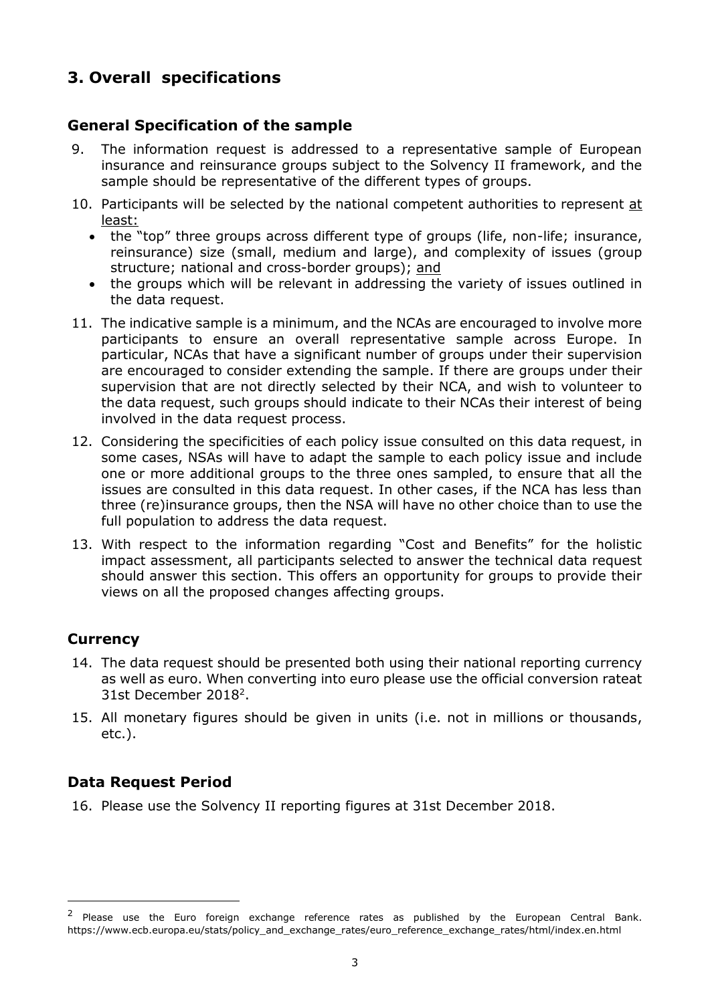# **3. Overall specifications**

# **General Specification of the sample**

- 9. The information request is addressed to a representative sample of European insurance and reinsurance groups subject to the Solvency II framework, and the sample should be representative of the different types of groups.
- 10. Participants will be selected by the national competent authorities to represent at least:
	- the "top" three groups across different type of groups (life, non-life; insurance, reinsurance) size (small, medium and large), and complexity of issues (group structure; national and cross-border groups); and
	- the groups which will be relevant in addressing the variety of issues outlined in the data request.
- 11. The indicative sample is a minimum, and the NCAs are encouraged to involve more participants to ensure an overall representative sample across Europe. In particular, NCAs that have a significant number of groups under their supervision are encouraged to consider extending the sample. If there are groups under their supervision that are not directly selected by their NCA, and wish to volunteer to the data request, such groups should indicate to their NCAs their interest of being involved in the data request process.
- 12. Considering the specificities of each policy issue consulted on this data request, in some cases, NSAs will have to adapt the sample to each policy issue and include one or more additional groups to the three ones sampled, to ensure that all the issues are consulted in this data request. In other cases, if the NCA has less than three (re)insurance groups, then the NSA will have no other choice than to use the full population to address the data request.
- 13. With respect to the information regarding "Cost and Benefits" for the holistic impact assessment, all participants selected to answer the technical data request should answer this section. This offers an opportunity for groups to provide their views on all the proposed changes affecting groups.

# **Currency**

-

- 14. The data request should be presented both using their national reporting currency as well as euro. When converting into euro please use the official conversion rateat 31st December 2018<sup>2</sup>.
- 15. All monetary figures should be given in units (i.e. not in millions or thousands, etc.).

# **Data Request Period**

16. Please use the Solvency II reporting figures at 31st December 2018.

<sup>&</sup>lt;sup>2</sup> Please use the Euro foreign exchange reference rates as published by the European Central Bank. https://www.ecb.europa.eu/stats/policy\_and\_exchange\_rates/euro\_reference\_exchange\_rates/html/index.en.html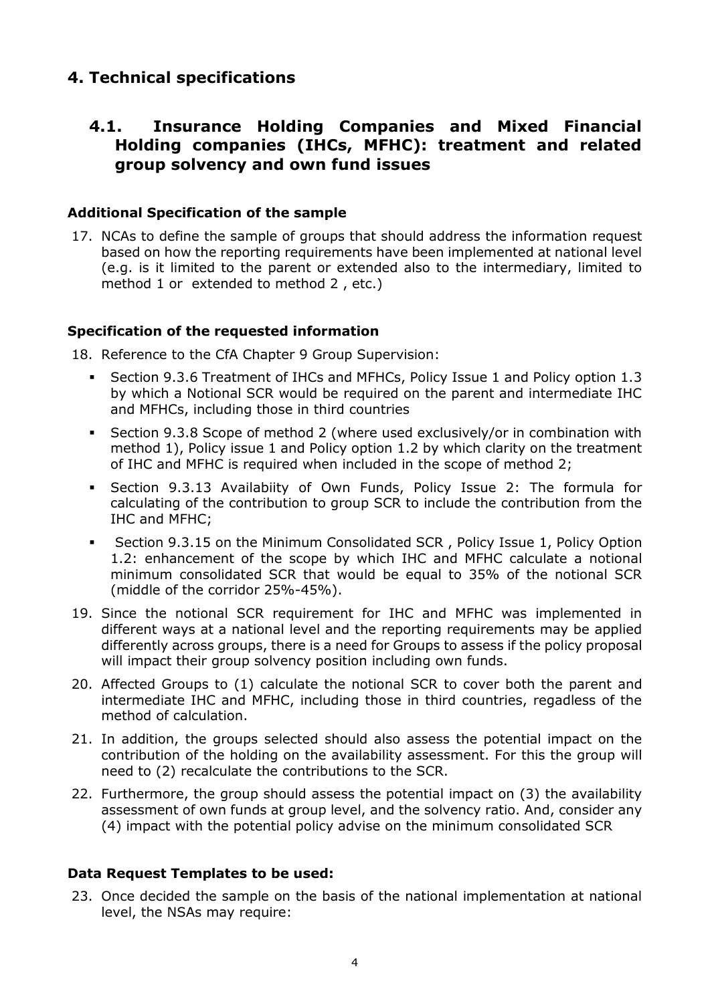# **4. Technical specifications**

# **4.1. Insurance Holding Companies and Mixed Financial Holding companies (IHCs, MFHC): treatment and related group solvency and own fund issues**

### **Additional Specification of the sample**

17. NCAs to define the sample of groups that should address the information request based on how the reporting requirements have been implemented at national level (e.g. is it limited to the parent or extended also to the intermediary, limited to method 1 or extended to method 2 , etc.)

### **Specification of the requested information**

18. Reference to the CfA Chapter 9 Group Supervision:

- Section 9.3.6 Treatment of IHCs and MFHCs, Policy Issue 1 and Policy option 1.3 by which a Notional SCR would be required on the parent and intermediate IHC and MFHCs, including those in third countries
- Section 9.3.8 Scope of method 2 (where used exclusively/or in combination with method 1), Policy issue 1 and Policy option 1.2 by which clarity on the treatment of IHC and MFHC is required when included in the scope of method 2;
- Section 9.3.13 Availabiity of Own Funds, Policy Issue 2: The formula for calculating of the contribution to group SCR to include the contribution from the IHC and MFHC;
- Section 9.3.15 on the Minimum Consolidated SCR , Policy Issue 1, Policy Option 1.2: enhancement of the scope by which IHC and MFHC calculate a notional minimum consolidated SCR that would be equal to 35% of the notional SCR (middle of the corridor 25%-45%).
- 19. Since the notional SCR requirement for IHC and MFHC was implemented in different ways at a national level and the reporting requirements may be applied differently across groups, there is a need for Groups to assess if the policy proposal will impact their group solvency position including own funds.
- 20. Affected Groups to (1) calculate the notional SCR to cover both the parent and intermediate IHC and MFHC, including those in third countries, regadless of the method of calculation.
- 21. In addition, the groups selected should also assess the potential impact on the contribution of the holding on the availability assessment. For this the group will need to (2) recalculate the contributions to the SCR.
- 22. Furthermore, the group should assess the potential impact on (3) the availability assessment of own funds at group level, and the solvency ratio. And, consider any (4) impact with the potential policy advise on the minimum consolidated SCR

### **Data Request Templates to be used:**

23. Once decided the sample on the basis of the national implementation at national level, the NSAs may require: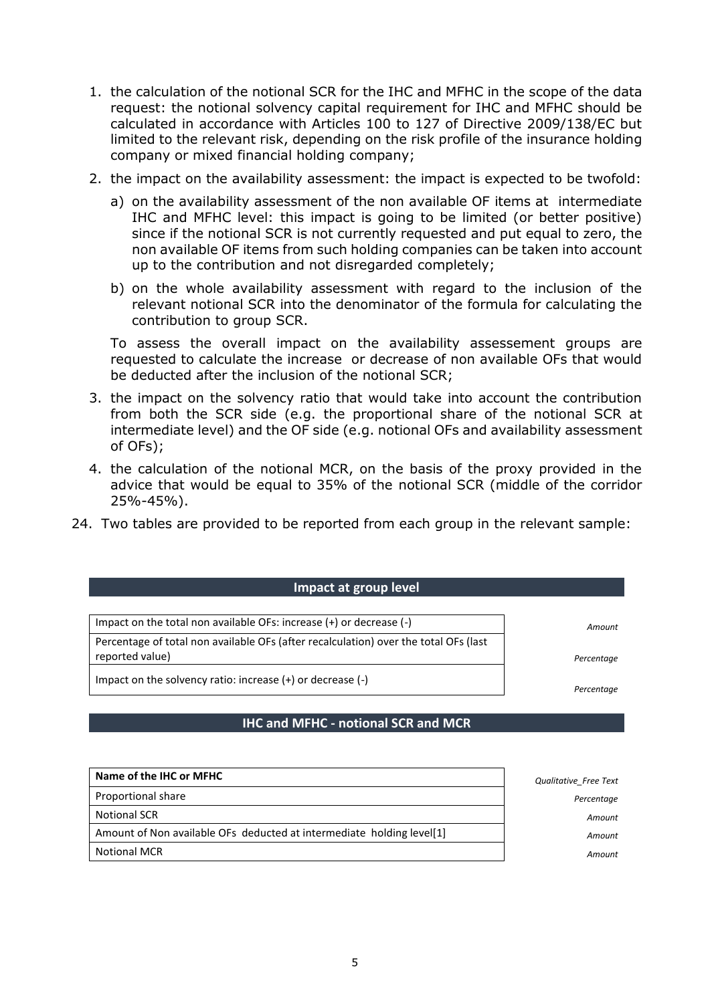- 1. the calculation of the notional SCR for the IHC and MFHC in the scope of the data request: the notional solvency capital requirement for IHC and MFHC should be calculated in accordance with Articles 100 to 127 of Directive 2009/138/EC but limited to the relevant risk, depending on the risk profile of the insurance holding company or mixed financial holding company;
- 2. the impact on the availability assessment: the impact is expected to be twofold:
	- a) on the availability assessment of the non available OF items at intermediate IHC and MFHC level: this impact is going to be limited (or better positive) since if the notional SCR is not currently requested and put equal to zero, the non available OF items from such holding companies can be taken into account up to the contribution and not disregarded completely;
	- b) on the whole availability assessment with regard to the inclusion of the relevant notional SCR into the denominator of the formula for calculating the contribution to group SCR.

To assess the overall impact on the availability assessement groups are requested to calculate the increase or decrease of non available OFs that would be deducted after the inclusion of the notional SCR;

- 3. the impact on the solvency ratio that would take into account the contribution from both the SCR side (e.g. the proportional share of the notional SCR at intermediate level) and the OF side (e.g. notional OFs and availability assessment of OFs);
- 4. the calculation of the notional MCR, on the basis of the proxy provided in the advice that would be equal to 35% of the notional SCR (middle of the corridor 25%-45%).
- 24. Two tables are provided to be reported from each group in the relevant sample:

#### **Impact at group level**

Impact on the total non available OFs: increase (+) or decrease (-) *Amount* Percentage of total non available OFs (after recalculation) over the total OFs (last reported value) *Percentage*

Impact on the solvency ratio: increase (+) or decrease (-)

*Percentage*

#### **IHC and MFHC - notional SCR and MCR**

| Name of the IHC or MFHC                                               | Qualitative Free Text |
|-----------------------------------------------------------------------|-----------------------|
| Proportional share                                                    | Percentage            |
| <b>Notional SCR</b>                                                   | Amount                |
| Amount of Non available OFs deducted at intermediate holding level[1] | Amount                |
| <b>Notional MCR</b>                                                   | Amount                |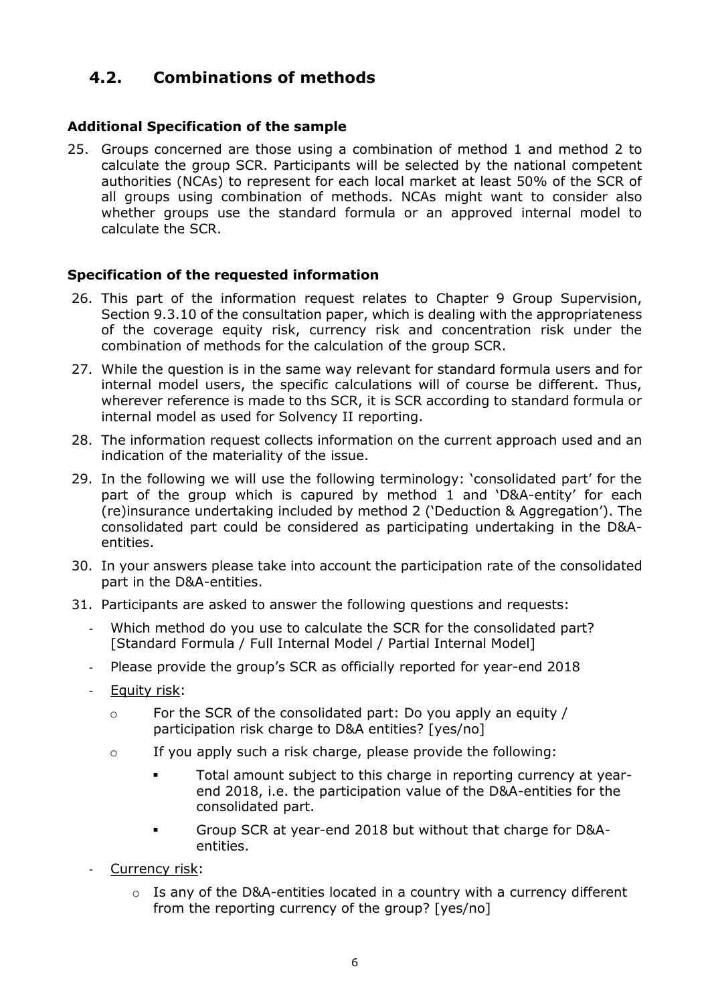# **4.2. Combinations of methods**

# **Additional Specification of the sample**

25. Groups concerned are those using a combination of method 1 and method 2 to calculate the group SCR. Participants will be selected by the national competent authorities (NCAs) to represent for each local market at least 50% of the SCR of all groups using combination of methods. NCAs might want to consider also whether groups use the standard formula or an approved internal model to calculate the SCR.

# **Specification of the requested information**

- 26. This part of the information request relates to Chapter 9 Group Supervision, Section 9.3.10 of the consultation paper, which is dealing with the appropriateness of the coverage equity risk, currency risk and concentration risk under the combination of methods for the calculation of the group SCR.
- 27. While the question is in the same way relevant for standard formula users and for internal model users, the specific calculations will of course be different. Thus, wherever reference is made to ths SCR, it is SCR according to standard formula or internal model as used for Solvency II reporting.
- 28. The information request collects information on the current approach used and an indication of the materiality of the issue.
- 29. In the following we will use the following terminology: 'consolidated part' for the part of the group which is capured by method 1 and 'D&A-entity' for each (re)insurance undertaking included by method 2 ('Deduction & Aggregation'). The consolidated part could be considered as participating undertaking in the D&Aentities.
- 30. In your answers please take into account the participation rate of the consolidated part in the D&A-entities.
- 31. Participants are asked to answer the following questions and requests:
	- Which method do you use to calculate the SCR for the consolidated part? [Standard Formula / Full Internal Model / Partial Internal Model]
	- Please provide the group's SCR as officially reported for year-end 2018
	- Equity risk:
		- o For the SCR of the consolidated part: Do you apply an equity / participation risk charge to D&A entities? [yes/no]
		- $\circ$  If you apply such a risk charge, please provide the following:
			- Total amount subject to this charge in reporting currency at yearend 2018, i.e. the participation value of the D&A-entities for the consolidated part.
			- Group SCR at year-end 2018 but without that charge for D&Aentities.
	- Currency risk:
		- $\circ$  Is any of the D&A-entities located in a country with a currency different from the reporting currency of the group? [yes/no]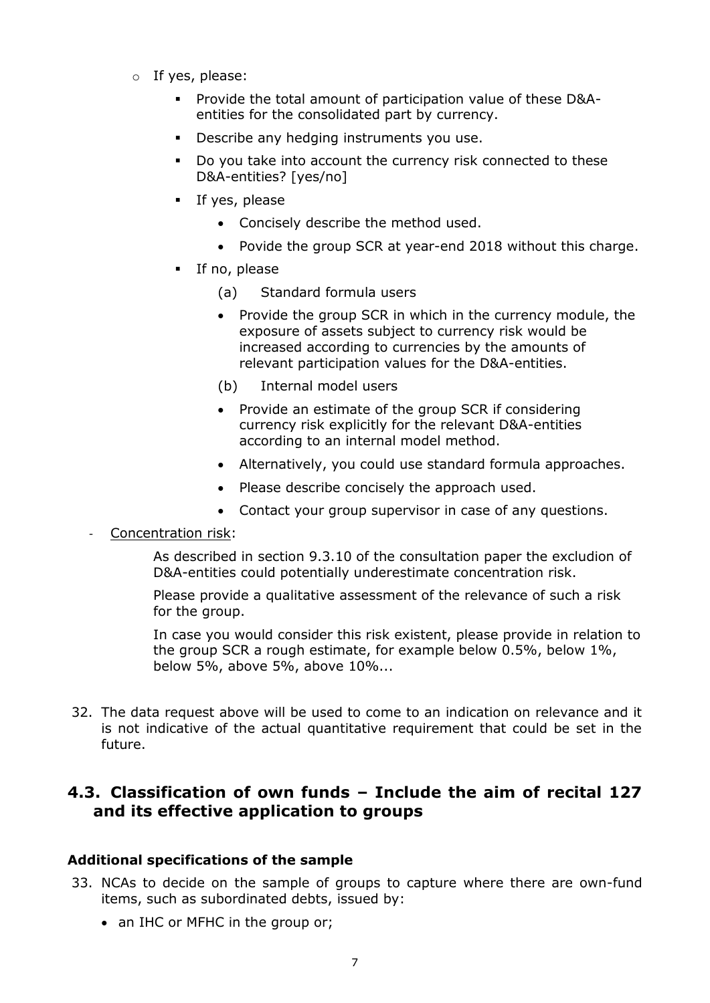- $\circ$  If yes, please:
	- Provide the total amount of participation value of these D&Aentities for the consolidated part by currency.
	- **•** Describe any hedging instruments you use.
	- Do you take into account the currency risk connected to these D&A-entities? [yes/no]
	- **If yes, please** 
		- Concisely describe the method used.
		- Povide the group SCR at year-end 2018 without this charge.
	- **If no, please** 
		- (a) Standard formula users
		- Provide the group SCR in which in the currency module, the exposure of assets subject to currency risk would be increased according to currencies by the amounts of relevant participation values for the D&A-entities.
		- (b) Internal model users
		- Provide an estimate of the group SCR if considering currency risk explicitly for the relevant D&A-entities according to an internal model method.
		- Alternatively, you could use standard formula approaches.
		- Please describe concisely the approach used.
		- Contact your group supervisor in case of any questions.

Concentration risk:

As described in section 9.3.10 of the consultation paper the excludion of D&A-entities could potentially underestimate concentration risk.

Please provide a qualitative assessment of the relevance of such a risk for the group.

In case you would consider this risk existent, please provide in relation to the group SCR a rough estimate, for example below 0.5%, below 1%, below 5%, above 5%, above 10%...

32. The data request above will be used to come to an indication on relevance and it is not indicative of the actual quantitative requirement that could be set in the future.

# **4.3. Classification of own funds – Include the aim of recital 127 and its effective application to groups**

#### **Additional specifications of the sample**

- 33. NCAs to decide on the sample of groups to capture where there are own-fund items, such as subordinated debts, issued by:
	- an IHC or MFHC in the group or;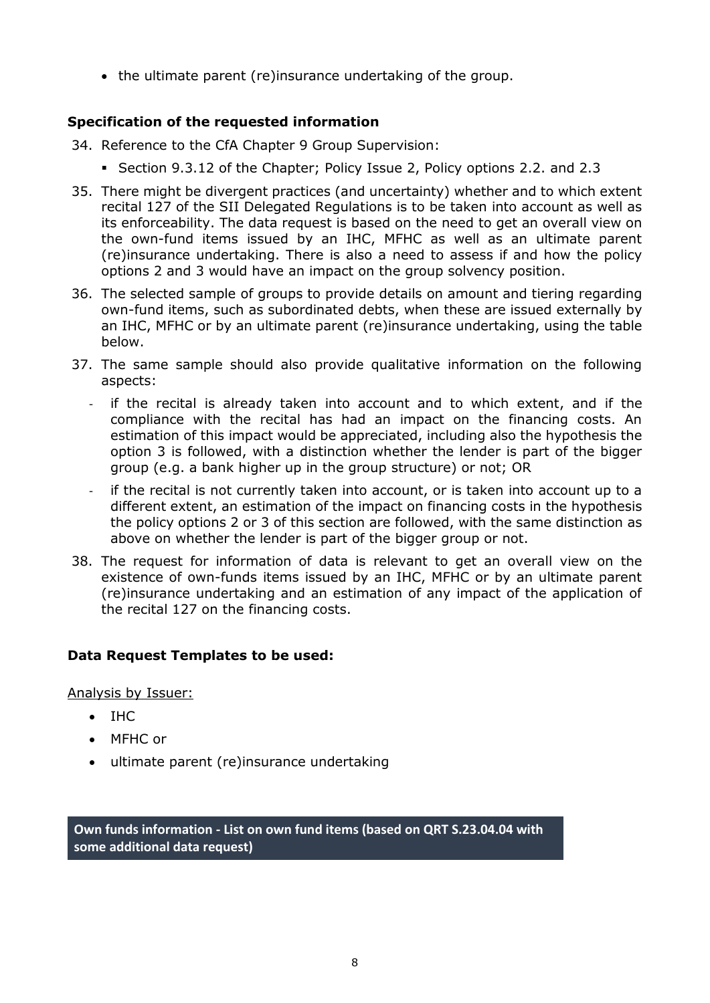• the ultimate parent (re)insurance undertaking of the group.

# **Specification of the requested information**

- 34. Reference to the CfA Chapter 9 Group Supervision:
	- Section 9.3.12 of the Chapter; Policy Issue 2, Policy options 2.2. and 2.3
- 35. There might be divergent practices (and uncertainty) whether and to which extent recital 127 of the SII Delegated Regulations is to be taken into account as well as its enforceability. The data request is based on the need to get an overall view on the own-fund items issued by an IHC, MFHC as well as an ultimate parent (re)insurance undertaking. There is also a need to assess if and how the policy options 2 and 3 would have an impact on the group solvency position.
- 36. The selected sample of groups to provide details on amount and tiering regarding own-fund items, such as subordinated debts, when these are issued externally by an IHC, MFHC or by an ultimate parent (re)insurance undertaking, using the table below.
- 37. The same sample should also provide qualitative information on the following aspects:
	- if the recital is already taken into account and to which extent, and if the compliance with the recital has had an impact on the financing costs. An estimation of this impact would be appreciated, including also the hypothesis the option 3 is followed, with a distinction whether the lender is part of the bigger group (e.g. a bank higher up in the group structure) or not; OR
	- if the recital is not currently taken into account, or is taken into account up to a different extent, an estimation of the impact on financing costs in the hypothesis the policy options 2 or 3 of this section are followed, with the same distinction as above on whether the lender is part of the bigger group or not.
- 38. The request for information of data is relevant to get an overall view on the existence of own-funds items issued by an IHC, MFHC or by an ultimate parent (re)insurance undertaking and an estimation of any impact of the application of the recital 127 on the financing costs.

# **Data Request Templates to be used:**

Analysis by Issuer:

- $\bullet$  THC
- MFHC or
- ultimate parent (re)insurance undertaking

**Own funds information - List on own fund items (based on QRT S.23.04.04 with some additional data request)**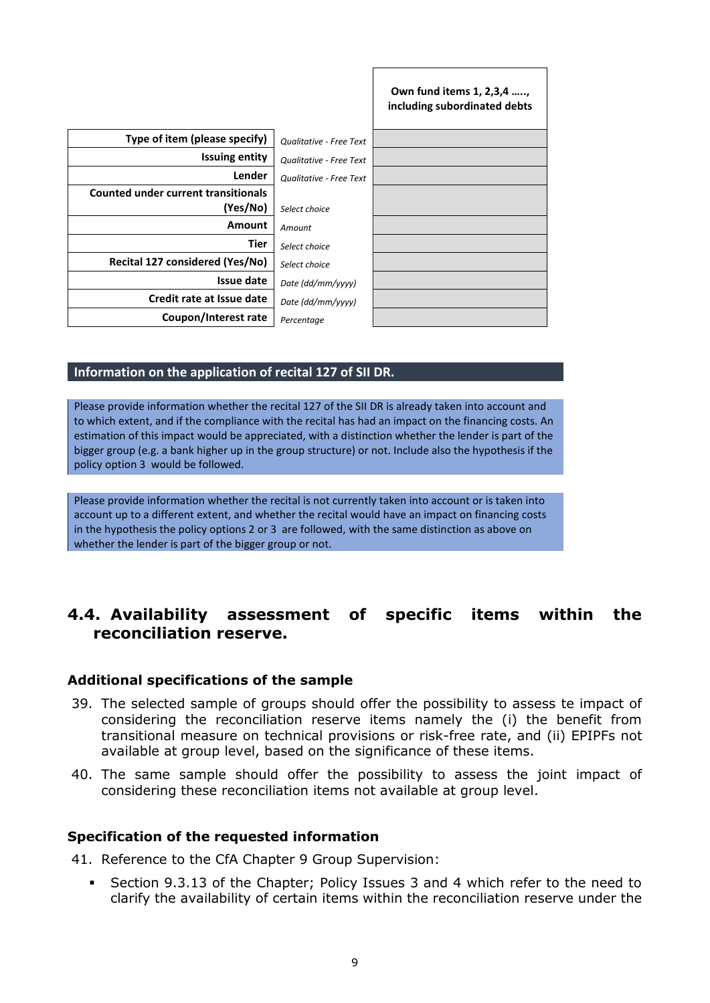|                                            |                                | Own fund items 1, 2,3,4 ,<br>including subordinated debts |
|--------------------------------------------|--------------------------------|-----------------------------------------------------------|
| Type of item (please specify)              | <b>Qualitative - Free Text</b> |                                                           |
| <b>Issuing entity</b>                      | Qualitative - Free Text        |                                                           |
| Lender                                     | Qualitative - Free Text        |                                                           |
| <b>Counted under current transitionals</b> |                                |                                                           |
| (Yes/No)                                   | Select choice                  |                                                           |
| <b>Amount</b>                              | Amount                         |                                                           |
| Tier                                       | Select choice                  |                                                           |
| Recital 127 considered (Yes/No)            | Select choice                  |                                                           |
| Issue date                                 | Date (dd/mm/yyyy)              |                                                           |
| Credit rate at Issue date                  | Date (dd/mm/yyyy)              |                                                           |
| Coupon/Interest rate                       | Percentage                     |                                                           |

#### **Information on the application of recital 127 of SII DR.**

Please provide information whether the recital 127 of the SII DR is already taken into account and to which extent, and if the compliance with the recital has had an impact on the financing costs. An estimation of this impact would be appreciated, with a distinction whether the lender is part of the bigger group (e.g. a bank higher up in the group structure) or not. Include also the hypothesis if the policy option 3 would be followed.

Please provide information whether the recital is not currently taken into account or is taken into account up to a different extent, and whether the recital would have an impact on financing costs in the hypothesis the policy options 2 or 3 are followed, with the same distinction as above on whether the lender is part of the bigger group or not.

# **4.4. Availability assessment of specific items within the reconciliation reserve.**

#### **Additional specifications of the sample**

- 39. The selected sample of groups should offer the possibility to assess te impact of considering the reconciliation reserve items namely the (i) the benefit from transitional measure on technical provisions or risk-free rate, and (ii) EPIPFs not available at group level, based on the significance of these items.
- 40. The same sample should offer the possibility to assess the joint impact of considering these reconciliation items not available at group level.

#### **Specification of the requested information**

41. Reference to the CfA Chapter 9 Group Supervision:

 Section 9.3.13 of the Chapter; Policy Issues 3 and 4 which refer to the need to clarify the availability of certain items within the reconciliation reserve under the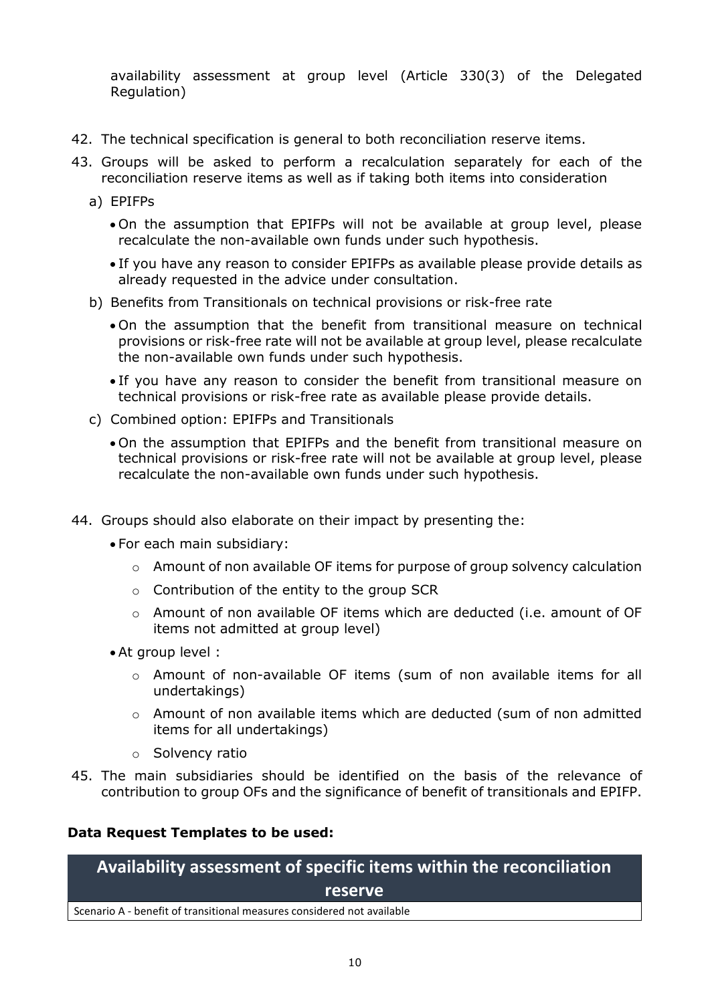availability assessment at group level (Article 330(3) of the Delegated Regulation)

- 42. The technical specification is general to both reconciliation reserve items.
- 43. Groups will be asked to perform a recalculation separately for each of the reconciliation reserve items as well as if taking both items into consideration
	- a) EPIFPs
		- On the assumption that EPIFPs will not be available at group level, please recalculate the non-available own funds under such hypothesis.
		- If you have any reason to consider EPIFPs as available please provide details as already requested in the advice under consultation.
	- b) Benefits from Transitionals on technical provisions or risk-free rate
		- On the assumption that the benefit from transitional measure on technical provisions or risk-free rate will not be available at group level, please recalculate the non-available own funds under such hypothesis.
		- If you have any reason to consider the benefit from transitional measure on technical provisions or risk-free rate as available please provide details.
	- c) Combined option: EPIFPs and Transitionals
		- On the assumption that EPIFPs and the benefit from transitional measure on technical provisions or risk-free rate will not be available at group level, please recalculate the non-available own funds under such hypothesis.
- 44. Groups should also elaborate on their impact by presenting the:
	- For each main subsidiary:
		- o Amount of non available OF items for purpose of group solvency calculation
		- o Contribution of the entity to the group SCR
		- $\circ$  Amount of non available OF items which are deducted (i.e. amount of OF items not admitted at group level)
	- At group level :
		- $\circ$  Amount of non-available OF items (sum of non available items for all undertakings)
		- $\circ$  Amount of non available items which are deducted (sum of non admitted items for all undertakings)
		- o Solvency ratio
- 45. The main subsidiaries should be identified on the basis of the relevance of contribution to group OFs and the significance of benefit of transitionals and EPIFP.

#### **Data Request Templates to be used:**

**Availability assessment of specific items within the reconciliation reserve**

Scenario A - benefit of transitional measures considered not available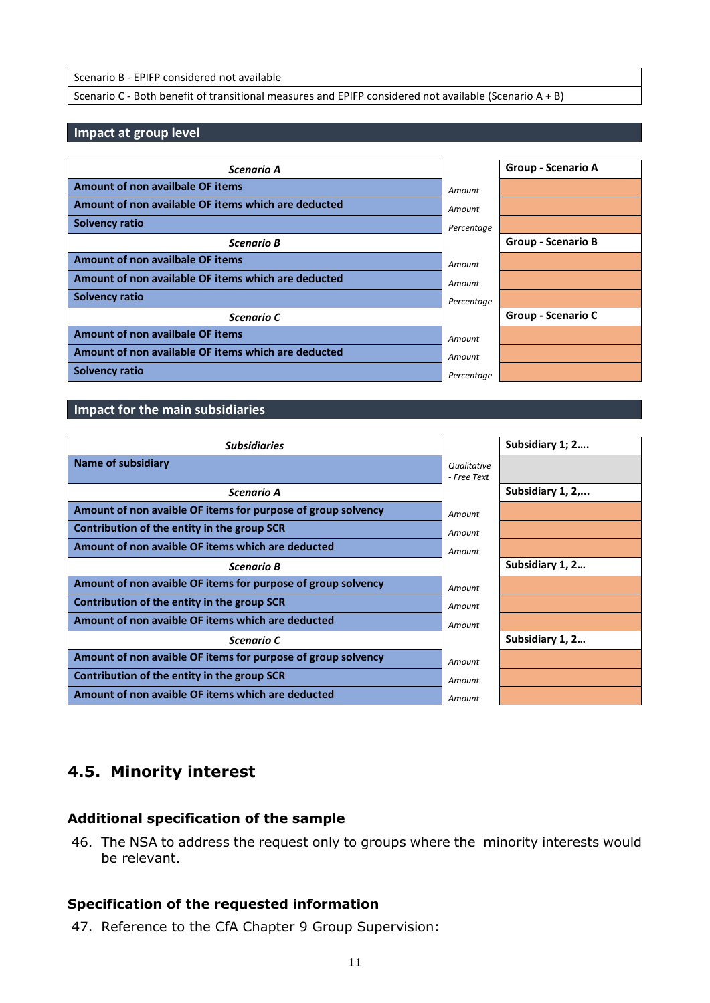Scenario B - EPIFP considered not available

Scenario C - Both benefit of transitional measures and EPIFP considered not available (Scenario A + B)

#### **Impact at group level**

| Scenario A                                          |            | Group - Scenario A        |
|-----------------------------------------------------|------------|---------------------------|
| Amount of non availbale OF items                    | Amount     |                           |
| Amount of non available OF items which are deducted | Amount     |                           |
| <b>Solvency ratio</b>                               | Percentage |                           |
| <b>Scenario B</b>                                   |            | <b>Group - Scenario B</b> |
| Amount of non availbale OF items                    | Amount     |                           |
| Amount of non available OF items which are deducted | Amount     |                           |
| <b>Solvency ratio</b>                               | Percentage |                           |
| Scenario C                                          |            | <b>Group - Scenario C</b> |
| Amount of non availbale OF items                    | Amount     |                           |
| Amount of non available OF items which are deducted | Amount     |                           |
| Solvency ratio                                      | Percentage |                           |

#### **Impact for the main subsidiaries**

| <b>Subsidiaries</b>                                          |             | Subsidiary 1; 2  |
|--------------------------------------------------------------|-------------|------------------|
| <b>Name of subsidiary</b>                                    | Qualitative |                  |
|                                                              | - Free Text |                  |
| Scenario A                                                   |             | Subsidiary 1, 2, |
| Amount of non avaible OF items for purpose of group solvency | Amount      |                  |
| Contribution of the entity in the group SCR                  | Amount      |                  |
| Amount of non avaible OF items which are deducted            | Amount      |                  |
| <b>Scenario B</b>                                            |             | Subsidiary 1, 2  |
| Amount of non avaible OF items for purpose of group solvency | Amount      |                  |
| Contribution of the entity in the group SCR                  | Amount      |                  |
| Amount of non avaible OF items which are deducted            | Amount      |                  |
| Scenario C                                                   |             | Subsidiary 1, 2  |
| Amount of non avaible OF items for purpose of group solvency | Amount      |                  |
| Contribution of the entity in the group SCR                  | Amount      |                  |
| Amount of non avaible OF items which are deducted            | Amount      |                  |

# **4.5. Minority interest**

#### **Additional specification of the sample**

46. The NSA to address the request only to groups where the minority interests would be relevant.

#### **Specification of the requested information**

47. Reference to the CfA Chapter 9 Group Supervision: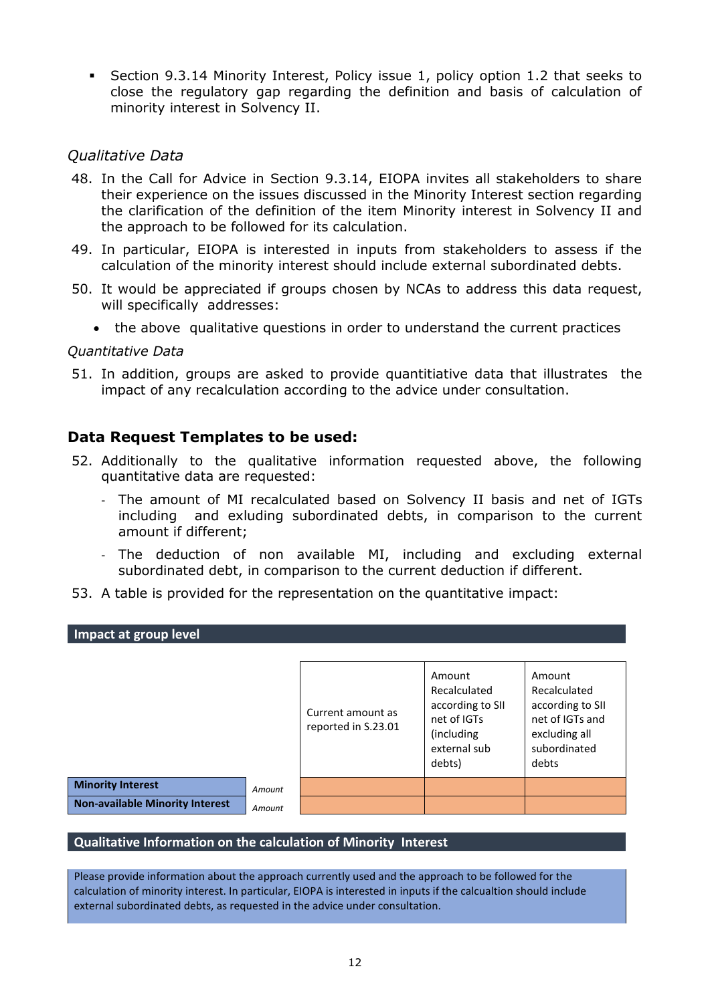Section 9.3.14 Minority Interest, Policy issue 1, policy option 1.2 that seeks to close the regulatory gap regarding the definition and basis of calculation of minority interest in Solvency II.

### *Qualitative Data*

- 48. In the Call for Advice in Section 9.3.14, EIOPA invites all stakeholders to share their experience on the issues discussed in the Minority Interest section regarding the clarification of the definition of the item Minority interest in Solvency II and the approach to be followed for its calculation.
- 49. In particular, EIOPA is interested in inputs from stakeholders to assess if the calculation of the minority interest should include external subordinated debts.
- 50. It would be appreciated if groups chosen by NCAs to address this data request, will specifically addresses:
	- the above qualitative questions in order to understand the current practices

#### *Quantitative Data*

51. In addition, groups are asked to provide quantitiative data that illustrates the impact of any recalculation according to the advice under consultation.

### **Data Request Templates to be used:**

- 52. Additionally to the qualitative information requested above, the following quantitative data are requested:
	- The amount of MI recalculated based on Solvency II basis and net of IGTs including and exluding subordinated debts, in comparison to the current amount if different;
	- The deduction of non available MI, including and excluding external subordinated debt, in comparison to the current deduction if different.
- 53. A table is provided for the representation on the quantitative impact:

**Impact at group level** Current amount as reported in S.23.01 Amount Recalculated according to SII net of IGTs (including external sub debts) Amount Recalculated according to SII net of IGTs and excluding all subordinated debts **Minority Interest** *Amount* **Non-available Minority Interest** *Amount*

#### **Qualitative Information on the calculation of Minority Interest**

Please provide information about the approach currently used and the approach to be followed for the calculation of minority interest. In particular, EIOPA is interested in inputs if the calcualtion should include external subordinated debts, as requested in the advice under consultation.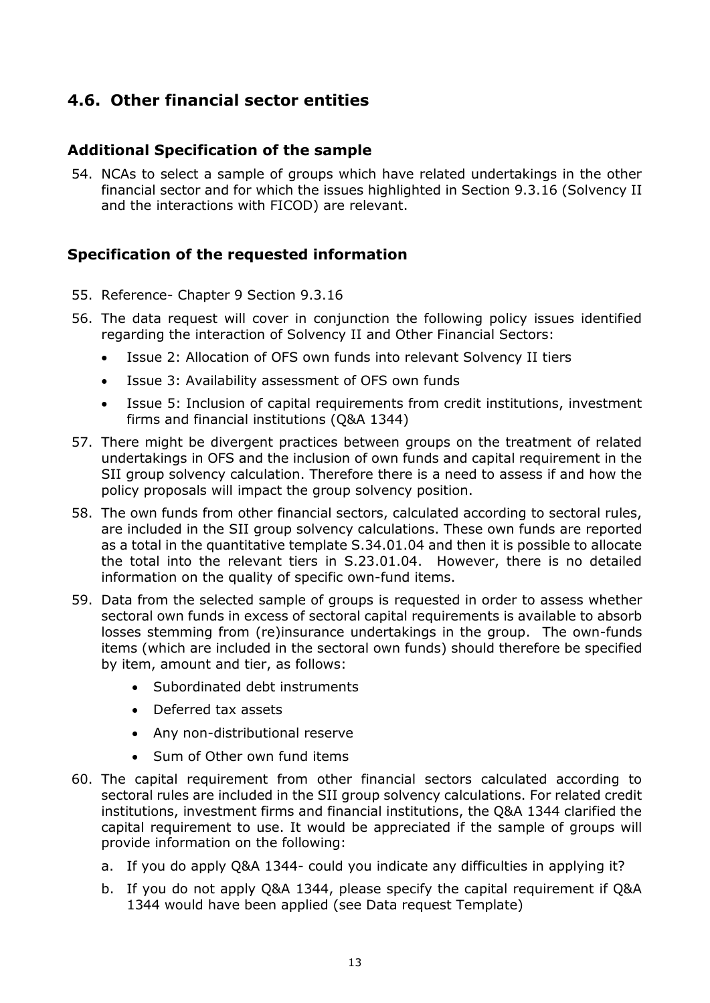# **4.6. Other financial sector entities**

# **Additional Specification of the sample**

54. NCAs to select a sample of groups which have related undertakings in the other financial sector and for which the issues highlighted in Section 9.3.16 (Solvency II and the interactions with FICOD) are relevant.

# **Specification of the requested information**

- 55. Reference- Chapter 9 Section 9.3.16
- 56. The data request will cover in conjunction the following policy issues identified regarding the interaction of Solvency II and Other Financial Sectors:
	- Issue 2: Allocation of OFS own funds into relevant Solvency II tiers
	- Issue 3: Availability assessment of OFS own funds
	- Issue 5: Inclusion of capital requirements from credit institutions, investment firms and financial institutions (Q&A 1344)
- 57. There might be divergent practices between groups on the treatment of related undertakings in OFS and the inclusion of own funds and capital requirement in the SII group solvency calculation. Therefore there is a need to assess if and how the policy proposals will impact the group solvency position.
- 58. The own funds from other financial sectors, calculated according to sectoral rules, are included in the SII group solvency calculations. These own funds are reported as a total in the quantitative template S.34.01.04 and then it is possible to allocate the total into the relevant tiers in S.23.01.04. However, there is no detailed information on the quality of specific own-fund items.
- 59. Data from the selected sample of groups is requested in order to assess whether sectoral own funds in excess of sectoral capital requirements is available to absorb losses stemming from (re)insurance undertakings in the group. The own-funds items (which are included in the sectoral own funds) should therefore be specified by item, amount and tier, as follows:
	- Subordinated debt instruments
	- Deferred tax assets
	- Any non-distributional reserve
	- Sum of Other own fund items
- 60. The capital requirement from other financial sectors calculated according to sectoral rules are included in the SII group solvency calculations. For related credit institutions, investment firms and financial institutions, the Q&A 1344 clarified the capital requirement to use. It would be appreciated if the sample of groups will provide information on the following:
	- a. If you do apply Q&A 1344- could you indicate any difficulties in applying it?
	- b. If you do not apply Q&A 1344, please specify the capital requirement if Q&A 1344 would have been applied (see Data request Template)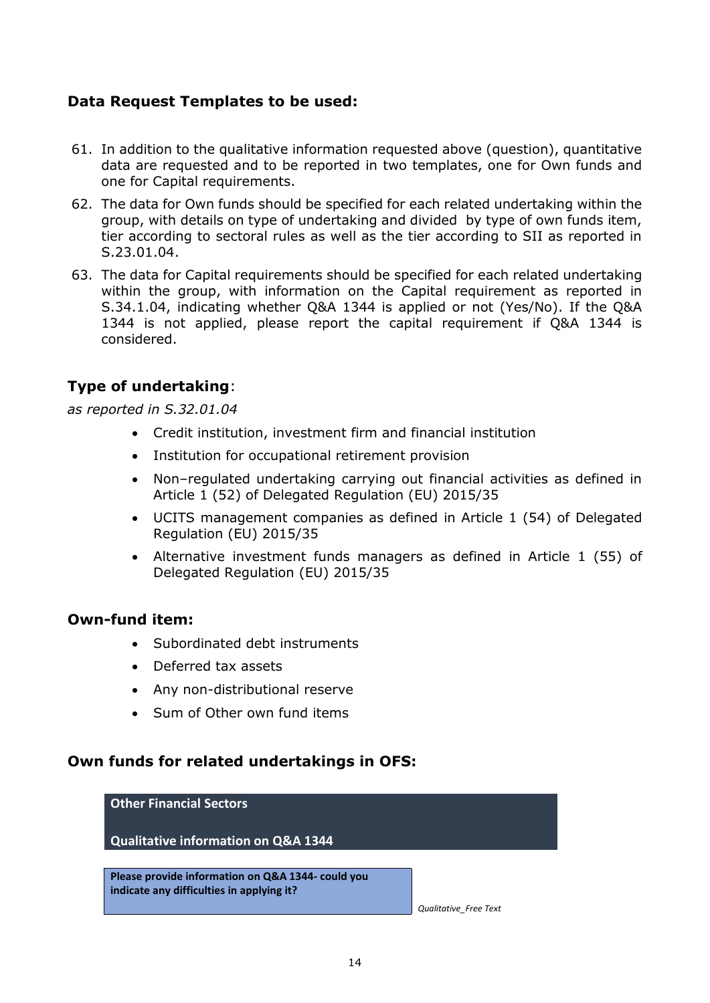# **Data Request Templates to be used:**

- 61. In addition to the qualitative information requested above (question), quantitative data are requested and to be reported in two templates, one for Own funds and one for Capital requirements.
- 62. The data for Own funds should be specified for each related undertaking within the group, with details on type of undertaking and divided by type of own funds item, tier according to sectoral rules as well as the tier according to SII as reported in S.23.01.04.
- 63. The data for Capital requirements should be specified for each related undertaking within the group, with information on the Capital requirement as reported in S.34.1.04, indicating whether Q&A 1344 is applied or not (Yes/No). If the Q&A 1344 is not applied, please report the capital requirement if Q&A 1344 is considered.

# **Type of undertaking**:

*as reported in S.32.01.04* 

- Credit institution, investment firm and financial institution
- Institution for occupational retirement provision
- Non–regulated undertaking carrying out financial activities as defined in Article 1 (52) of Delegated Regulation (EU) 2015/35
- UCITS management companies as defined in Article 1 (54) of Delegated Regulation (EU) 2015/35
- Alternative investment funds managers as defined in Article 1 (55) of Delegated Regulation (EU) 2015/35

# **Own-fund item:**

- Subordinated debt instruments
- Deferred tax assets
- Any non-distributional reserve
- Sum of Other own fund items

### **Own funds for related undertakings in OFS:**

# **Other Financial Sectors Qualitative information on Q&A 1344 Please provide information on Q&A 1344- could you indicate any difficulties in applying it?**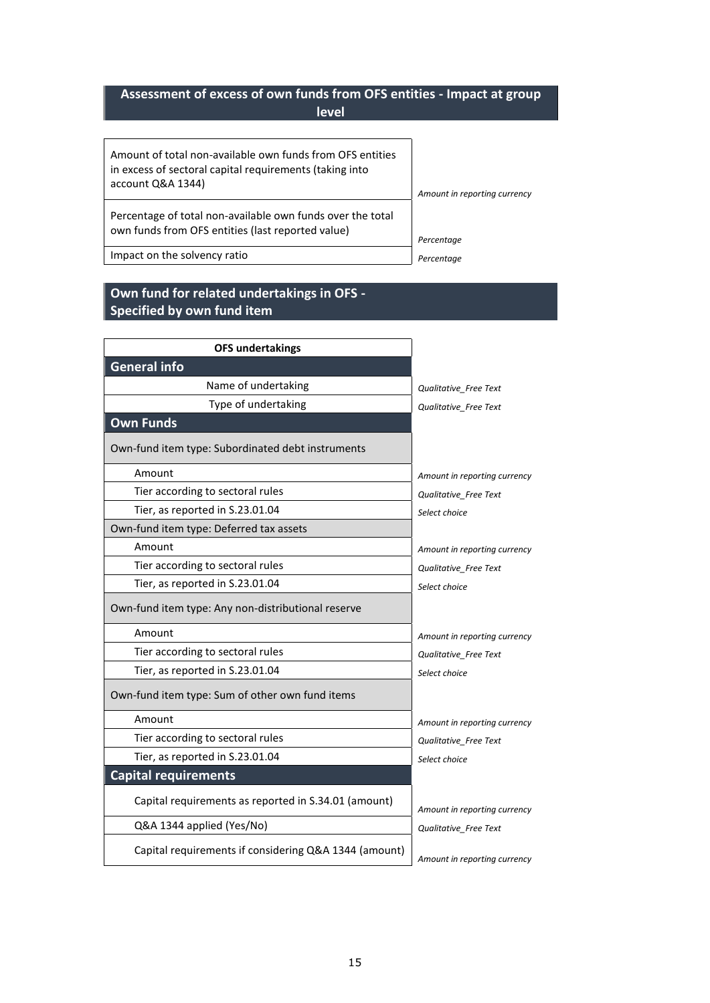# **Assessment of excess of own funds from OFS entities - Impact at group level**

| Amount of total non-available own funds from OFS entities<br>in excess of sectoral capital requirements (taking into<br>account Q&A 1344) | Amount in reporting currency |
|-------------------------------------------------------------------------------------------------------------------------------------------|------------------------------|
| Percentage of total non-available own funds over the total<br>own funds from OFS entities (last reported value)                           | Percentage                   |
| Impact on the solvency ratio                                                                                                              | Percentage                   |

**Own fund for related undertakings in OFS - Specified by own fund item** 

| <b>OFS undertakings</b>                               |                              |
|-------------------------------------------------------|------------------------------|
| <b>General info</b>                                   |                              |
| Name of undertaking                                   | Qualitative Free Text        |
| Type of undertaking                                   | Qualitative Free Text        |
| <b>Own Funds</b>                                      |                              |
| Own-fund item type: Subordinated debt instruments     |                              |
| Amount                                                | Amount in reporting currency |
| Tier according to sectoral rules                      | Qualitative Free Text        |
| Tier, as reported in S.23.01.04                       | Select choice                |
| Own-fund item type: Deferred tax assets               |                              |
| Amount                                                | Amount in reporting currency |
| Tier according to sectoral rules                      | Qualitative Free Text        |
| Tier, as reported in S.23.01.04                       | Select choice                |
| Own-fund item type: Any non-distributional reserve    |                              |
| Amount                                                | Amount in reporting currency |
| Tier according to sectoral rules                      | Qualitative Free Text        |
| Tier, as reported in S.23.01.04                       | Select choice                |
| Own-fund item type: Sum of other own fund items       |                              |
| Amount                                                | Amount in reporting currency |
| Tier according to sectoral rules                      | Qualitative Free Text        |
| Tier, as reported in S.23.01.04                       | Select choice                |
| <b>Capital requirements</b>                           |                              |
| Capital requirements as reported in S.34.01 (amount)  | Amount in reporting currency |
| Q&A 1344 applied (Yes/No)                             | Qualitative Free Text        |
| Capital requirements if considering Q&A 1344 (amount) | Amount in reporting currency |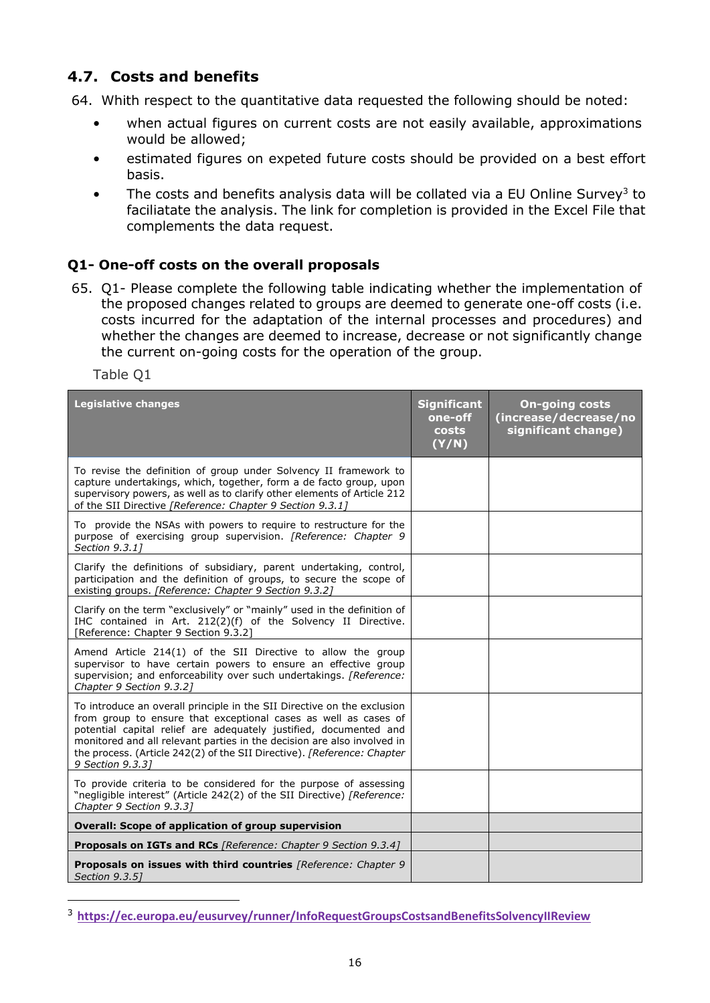# **4.7. Costs and benefits**

64. Whith respect to the quantitative data requested the following should be noted:

- when actual figures on current costs are not easily available, approximations would be allowed;
- estimated figures on expeted future costs should be provided on a best effort basis.
- The costs and benefits analysis data will be collated via a EU Online Survey<sup>3</sup> to faciliatate the analysis. The link for completion is provided in the Excel File that complements the data request.

# **Q1- One-off costs on the overall proposals**

65. Q1- Please complete the following table indicating whether the implementation of the proposed changes related to groups are deemed to generate one-off costs (i.e. costs incurred for the adaptation of the internal processes and procedures) and whether the changes are deemed to increase, decrease or not significantly change the current on-going costs for the operation of the group.

Table Q1

-

| <b>Legislative changes</b>                                                                                                                                                                                                                                                                                                                                                                | <b>Significant</b><br>one-off<br>costs<br>(Y/N) | <b>On-going costs</b><br>(increase/decrease/no<br>significant change) |
|-------------------------------------------------------------------------------------------------------------------------------------------------------------------------------------------------------------------------------------------------------------------------------------------------------------------------------------------------------------------------------------------|-------------------------------------------------|-----------------------------------------------------------------------|
| To revise the definition of group under Solvency II framework to<br>capture undertakings, which, together, form a de facto group, upon<br>supervisory powers, as well as to clarify other elements of Article 212<br>of the SII Directive [Reference: Chapter 9 Section 9.3.1]                                                                                                            |                                                 |                                                                       |
| To provide the NSAs with powers to require to restructure for the<br>purpose of exercising group supervision. [Reference: Chapter 9<br>Section 9.3.11                                                                                                                                                                                                                                     |                                                 |                                                                       |
| Clarify the definitions of subsidiary, parent undertaking, control,<br>participation and the definition of groups, to secure the scope of<br>existing groups. [Reference: Chapter 9 Section 9.3.2]                                                                                                                                                                                        |                                                 |                                                                       |
| Clarify on the term "exclusively" or "mainly" used in the definition of<br>IHC contained in Art. 212(2)(f) of the Solvency II Directive.<br>[Reference: Chapter 9 Section 9.3.2]                                                                                                                                                                                                          |                                                 |                                                                       |
| Amend Article 214(1) of the SII Directive to allow the group<br>supervisor to have certain powers to ensure an effective group<br>supervision; and enforceability over such undertakings. [Reference:<br>Chapter 9 Section 9.3.2]                                                                                                                                                         |                                                 |                                                                       |
| To introduce an overall principle in the SII Directive on the exclusion<br>from group to ensure that exceptional cases as well as cases of<br>potential capital relief are adequately justified, documented and<br>monitored and all relevant parties in the decision are also involved in<br>the process. (Article 242(2) of the SII Directive). [Reference: Chapter<br>9 Section 9.3.31 |                                                 |                                                                       |
| To provide criteria to be considered for the purpose of assessing<br>"negligible interest" (Article 242(2) of the SII Directive) [Reference:<br>Chapter 9 Section 9.3.31                                                                                                                                                                                                                  |                                                 |                                                                       |
| Overall: Scope of application of group supervision                                                                                                                                                                                                                                                                                                                                        |                                                 |                                                                       |
| <b>Proposals on IGTs and RCs</b> [Reference: Chapter 9 Section 9.3.4]                                                                                                                                                                                                                                                                                                                     |                                                 |                                                                       |
| <b>Proposals on issues with third countries</b> [Reference: Chapter 9<br>Section 9.3.51                                                                                                                                                                                                                                                                                                   |                                                 |                                                                       |

<sup>3</sup> **<https://ec.europa.eu/eusurvey/runner/InfoRequestGroupsCostsandBenefitsSolvencyIIReview>**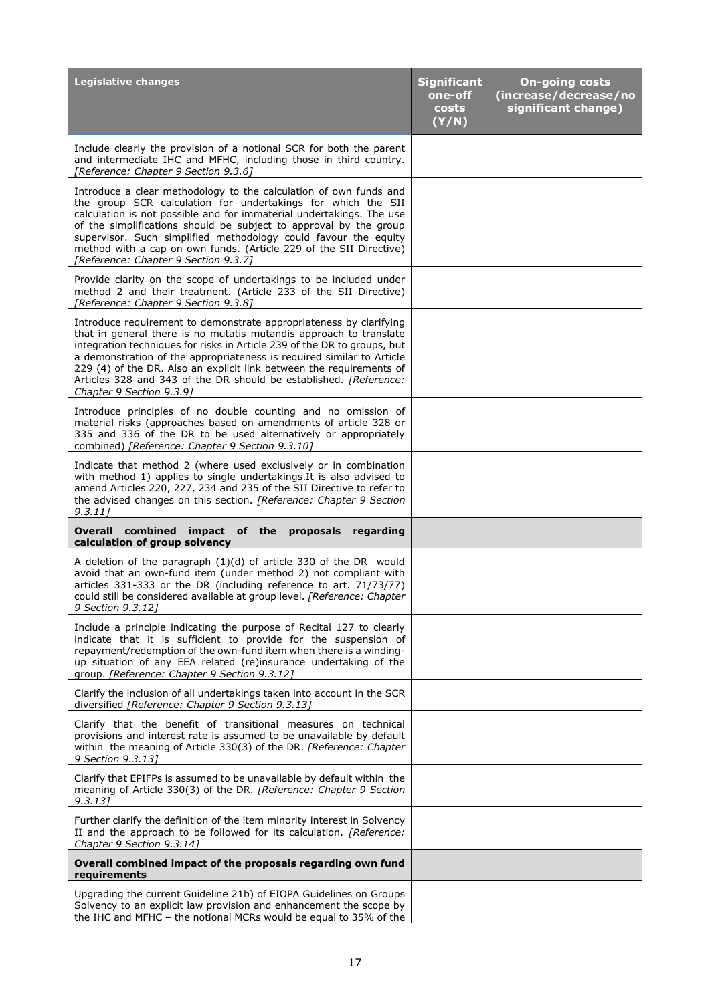| <b>Legislative changes</b>                                                                                                                                                                                                                                                                                                                                                                                                                                                    | <b>Significant</b><br>one-off<br><b>costs</b><br>(Y/N) | <b>On-going costs</b><br>(increase/decrease/no<br>significant change) |
|-------------------------------------------------------------------------------------------------------------------------------------------------------------------------------------------------------------------------------------------------------------------------------------------------------------------------------------------------------------------------------------------------------------------------------------------------------------------------------|--------------------------------------------------------|-----------------------------------------------------------------------|
| Include clearly the provision of a notional SCR for both the parent<br>and intermediate IHC and MFHC, including those in third country.<br>[Reference: Chapter 9 Section 9.3.6]                                                                                                                                                                                                                                                                                               |                                                        |                                                                       |
| Introduce a clear methodology to the calculation of own funds and<br>the group SCR calculation for undertakings for which the SII<br>calculation is not possible and for immaterial undertakings. The use<br>of the simplifications should be subject to approval by the group<br>supervisor. Such simplified methodology could favour the equity<br>method with a cap on own funds. (Article 229 of the SII Directive)<br>[Reference: Chapter 9 Section 9.3.7]               |                                                        |                                                                       |
| Provide clarity on the scope of undertakings to be included under<br>method 2 and their treatment. (Article 233 of the SII Directive)<br>[Reference: Chapter 9 Section 9.3.8]                                                                                                                                                                                                                                                                                                 |                                                        |                                                                       |
| Introduce requirement to demonstrate appropriateness by clarifying<br>that in general there is no mutatis mutandis approach to translate<br>integration techniques for risks in Article 239 of the DR to groups, but<br>a demonstration of the appropriateness is required similar to Article<br>229 (4) of the DR. Also an explicit link between the requirements of<br>Articles 328 and 343 of the DR should be established. <i>[Reference:</i><br>Chapter 9 Section 9.3.9] |                                                        |                                                                       |
| Introduce principles of no double counting and no omission of<br>material risks (approaches based on amendments of article 328 or<br>335 and 336 of the DR to be used alternatively or appropriately<br>combined) [Reference: Chapter 9 Section 9.3.10]                                                                                                                                                                                                                       |                                                        |                                                                       |
| Indicate that method 2 (where used exclusively or in combination<br>with method 1) applies to single undertakings. It is also advised to<br>amend Articles 220, 227, 234 and 235 of the SII Directive to refer to<br>the advised changes on this section. [Reference: Chapter 9 Section<br>9.3.11                                                                                                                                                                             |                                                        |                                                                       |
| Overall combined impact of the proposals regarding<br>calculation of group solvency                                                                                                                                                                                                                                                                                                                                                                                           |                                                        |                                                                       |
| A deletion of the paragraph $(1)(d)$ of article 330 of the DR would<br>avoid that an own-fund item (under method 2) not compliant with<br>articles 331-333 or the DR (including reference to art. 71/73/77)<br>could still be considered available at group level. [Reference: Chapter<br>9 Section 9.3.12]                                                                                                                                                                   |                                                        |                                                                       |
| Include a principle indicating the purpose of Recital 127 to clearly<br>indicate that it is sufficient to provide for the suspension of<br>repayment/redemption of the own-fund item when there is a winding-<br>up situation of any EEA related (re)insurance undertaking of the<br>group. [Reference: Chapter 9 Section 9.3.12]                                                                                                                                             |                                                        |                                                                       |
| Clarify the inclusion of all undertakings taken into account in the SCR<br>diversified [Reference: Chapter 9 Section 9.3.13]                                                                                                                                                                                                                                                                                                                                                  |                                                        |                                                                       |
| Clarify that the benefit of transitional measures on technical<br>provisions and interest rate is assumed to be unavailable by default<br>within the meaning of Article 330(3) of the DR. [Reference: Chapter<br>9 Section 9.3.13]                                                                                                                                                                                                                                            |                                                        |                                                                       |
| Clarify that EPIFPs is assumed to be unavailable by default within the<br>meaning of Article 330(3) of the DR. [Reference: Chapter 9 Section<br>9.3.13]                                                                                                                                                                                                                                                                                                                       |                                                        |                                                                       |
| Further clarify the definition of the item minority interest in Solvency<br>II and the approach to be followed for its calculation. [Reference:<br>Chapter 9 Section 9.3.14]                                                                                                                                                                                                                                                                                                  |                                                        |                                                                       |
| Overall combined impact of the proposals regarding own fund<br>requirements                                                                                                                                                                                                                                                                                                                                                                                                   |                                                        |                                                                       |
| Upgrading the current Guideline 21b) of EIOPA Guidelines on Groups<br>Solvency to an explicit law provision and enhancement the scope by<br>the IHC and MFHC - the notional MCRs would be equal to 35% of the                                                                                                                                                                                                                                                                 |                                                        |                                                                       |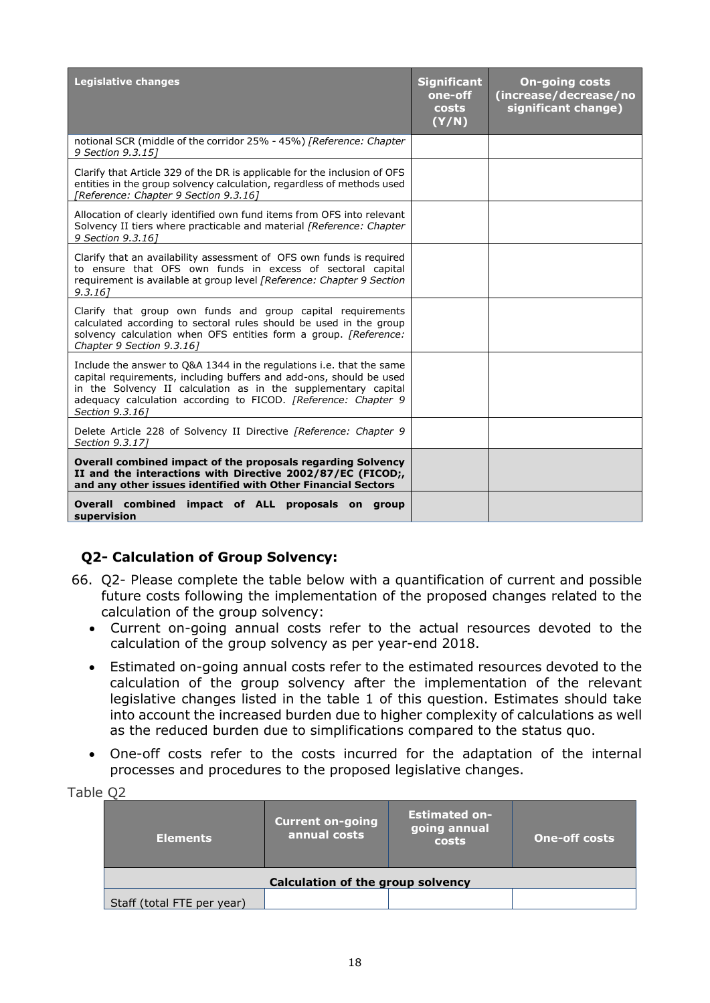| <b>Legislative changes</b>                                                                                                                                                                                                                                                                         | <b>Significant</b><br>one-off<br>costs<br>(Y/N) | <b>On-going costs</b><br>(increase/decrease/no<br>significant change) |
|----------------------------------------------------------------------------------------------------------------------------------------------------------------------------------------------------------------------------------------------------------------------------------------------------|-------------------------------------------------|-----------------------------------------------------------------------|
| notional SCR (middle of the corridor 25% - 45%) [Reference: Chapter<br>9 Section 9.3.15]                                                                                                                                                                                                           |                                                 |                                                                       |
| Clarify that Article 329 of the DR is applicable for the inclusion of OFS<br>entities in the group solvency calculation, regardless of methods used<br>[Reference: Chapter 9 Section 9.3.16]                                                                                                       |                                                 |                                                                       |
| Allocation of clearly identified own fund items from OFS into relevant<br>Solvency II tiers where practicable and material [Reference: Chapter<br>9 Section 9.3.161                                                                                                                                |                                                 |                                                                       |
| Clarify that an availability assessment of OFS own funds is required<br>to ensure that OFS own funds in excess of sectoral capital<br>requirement is available at group level [Reference: Chapter 9 Section]<br>9.3.161                                                                            |                                                 |                                                                       |
| Clarify that group own funds and group capital requirements<br>calculated according to sectoral rules should be used in the group<br>solvency calculation when OFS entities form a group. [Reference:<br>Chapter 9 Section 9.3.16]                                                                 |                                                 |                                                                       |
| Include the answer to Q&A 1344 in the regulations i.e. that the same<br>capital requirements, including buffers and add-ons, should be used<br>in the Solvency II calculation as in the supplementary capital<br>adequacy calculation according to FICOD. [Reference: Chapter 9<br>Section 9.3.161 |                                                 |                                                                       |
| Delete Article 228 of Solvency II Directive [Reference: Chapter 9<br>Section 9.3.171                                                                                                                                                                                                               |                                                 |                                                                       |
| Overall combined impact of the proposals regarding Solvency<br>II and the interactions with Directive 2002/87/EC (FICOD;<br>and any other issues identified with Other Financial Sectors                                                                                                           |                                                 |                                                                       |
| Overall combined<br>impact of ALL proposals on group<br>supervision                                                                                                                                                                                                                                |                                                 |                                                                       |

# **Q2- Calculation of Group Solvency:**

- 66. Q2- Please complete the table below with a quantification of current and possible future costs following the implementation of the proposed changes related to the calculation of the group solvency:
	- Current on-going annual costs refer to the actual resources devoted to the calculation of the group solvency as per year-end 2018.
	- Estimated on-going annual costs refer to the estimated resources devoted to the calculation of the group solvency after the implementation of the relevant legislative changes listed in the table 1 of this question. Estimates should take into account the increased burden due to higher complexity of calculations as well as the reduced burden due to simplifications compared to the status quo.
	- One-off costs refer to the costs incurred for the adaptation of the internal processes and procedures to the proposed legislative changes.

Table Q2

| <b>Elements</b>            | <b>Current on-going</b><br>annual costs  | <b>Estimated on-</b><br>going annual<br>costs | <b>One-off costs</b> |
|----------------------------|------------------------------------------|-----------------------------------------------|----------------------|
|                            | <b>Calculation of the group solvency</b> |                                               |                      |
| Staff (total FTE per year) |                                          |                                               |                      |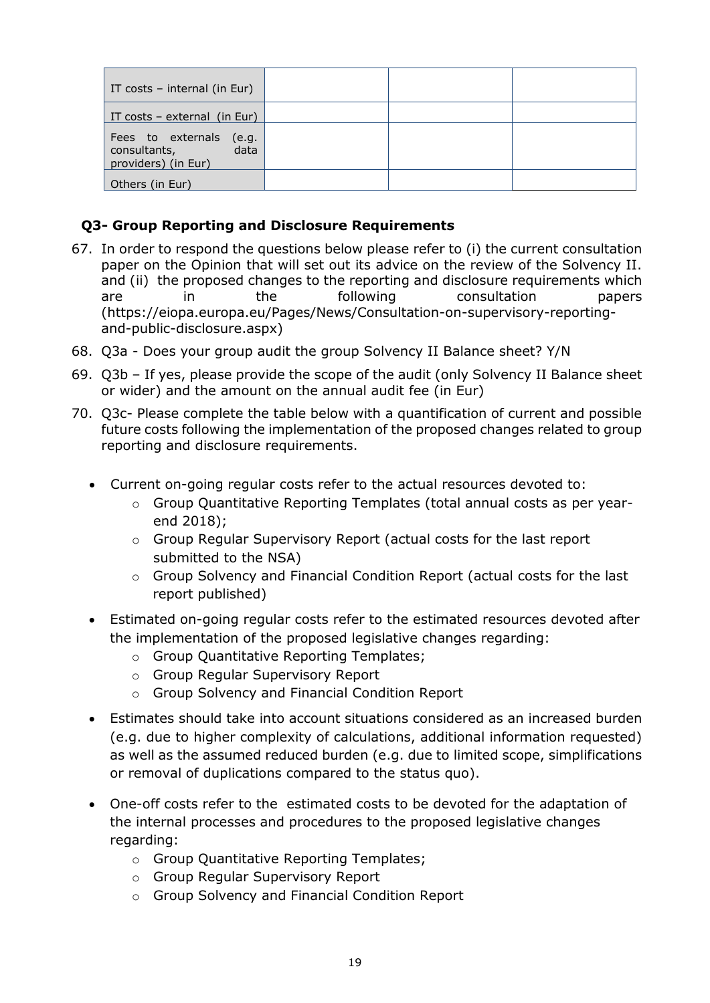| IT costs - internal (in Eur)                                              |  |  |
|---------------------------------------------------------------------------|--|--|
| IT costs - external (in Eur)                                              |  |  |
| Fees to externals<br>(e.g.<br>consultants,<br>data<br>providers) (in Eur) |  |  |
| Others (in Eur)                                                           |  |  |

# **Q3- Group Reporting and Disclosure Requirements**

- 67. In order to respond the questions below please refer to (i) the current consultation paper on the Opinion that will set out its advice on the review of the Solvency II. and (ii) the proposed changes to the reporting and disclosure requirements which are in the following consultation papers (https://eiopa.europa.eu/Pages/News/Consultation-on-supervisory-reportingand-public-disclosure.aspx)
- 68. Q3a Does your group audit the group Solvency II Balance sheet? Y/N
- 69. Q3b If yes, please provide the scope of the audit (only Solvency II Balance sheet or wider) and the amount on the annual audit fee (in Eur)
- 70. Q3c- Please complete the table below with a quantification of current and possible future costs following the implementation of the proposed changes related to group reporting and disclosure requirements.
	- Current on-going regular costs refer to the actual resources devoted to:
		- o Group Quantitative Reporting Templates (total annual costs as per yearend 2018);
		- o Group Regular Supervisory Report (actual costs for the last report submitted to the NSA)
		- o Group Solvency and Financial Condition Report (actual costs for the last report published)
	- Estimated on-going regular costs refer to the estimated resources devoted after the implementation of the proposed legislative changes regarding:
		- o Group Quantitative Reporting Templates;
		- o Group Regular Supervisory Report
		- o Group Solvency and Financial Condition Report
	- Estimates should take into account situations considered as an increased burden (e.g. due to higher complexity of calculations, additional information requested) as well as the assumed reduced burden (e.g. due to limited scope, simplifications or removal of duplications compared to the status quo).
	- One-off costs refer to the estimated costs to be devoted for the adaptation of the internal processes and procedures to the proposed legislative changes regarding:
		- o Group Quantitative Reporting Templates;
		- o Group Regular Supervisory Report
		- o Group Solvency and Financial Condition Report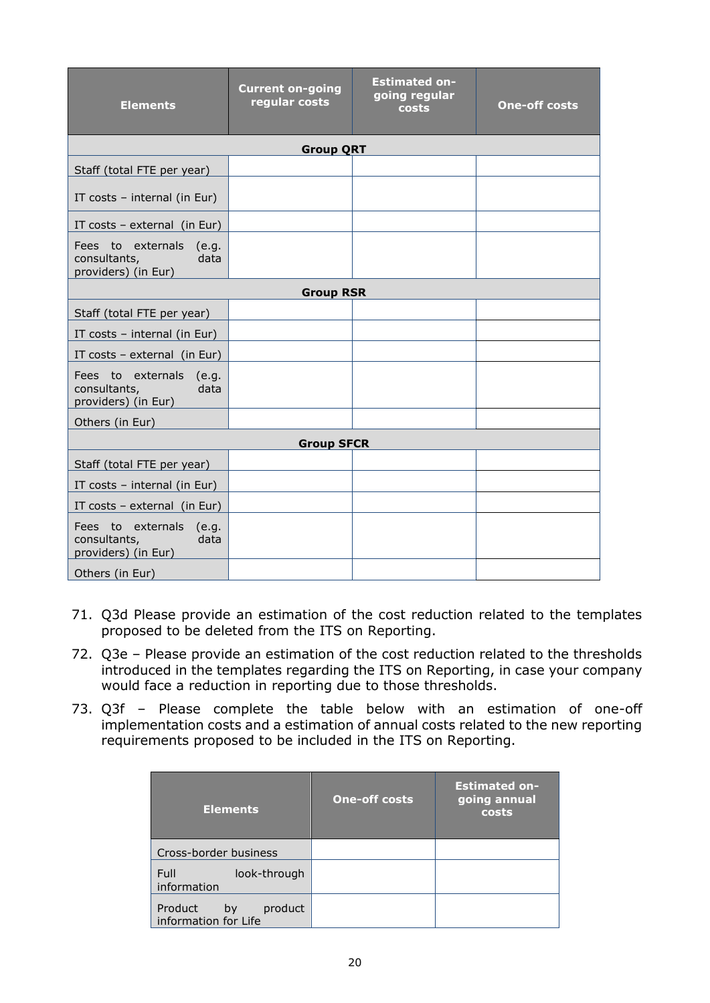| <b>Elements</b>                                                           | <b>Current on-going</b><br>regular costs | <b>Estimated on-</b><br>going regular<br>costs | <b>One-off costs</b> |  |  |  |
|---------------------------------------------------------------------------|------------------------------------------|------------------------------------------------|----------------------|--|--|--|
| <b>Group QRT</b>                                                          |                                          |                                                |                      |  |  |  |
| Staff (total FTE per year)                                                |                                          |                                                |                      |  |  |  |
| IT costs - internal (in Eur)                                              |                                          |                                                |                      |  |  |  |
| IT costs $-$ external (in Eur)                                            |                                          |                                                |                      |  |  |  |
| Fees to externals<br>(e.g.<br>consultants,<br>data<br>providers) (in Eur) |                                          |                                                |                      |  |  |  |
| <b>Group RSR</b>                                                          |                                          |                                                |                      |  |  |  |
| Staff (total FTE per year)                                                |                                          |                                                |                      |  |  |  |
| IT costs - internal (in Eur)                                              |                                          |                                                |                      |  |  |  |
| IT costs $-$ external (in Eur)                                            |                                          |                                                |                      |  |  |  |
| Fees to externals<br>(e.g.<br>data<br>consultants,<br>providers) (in Eur) |                                          |                                                |                      |  |  |  |
| Others (in Eur)                                                           |                                          |                                                |                      |  |  |  |
| <b>Group SFCR</b>                                                         |                                          |                                                |                      |  |  |  |
| Staff (total FTE per year)                                                |                                          |                                                |                      |  |  |  |
| IT costs - internal (in Eur)                                              |                                          |                                                |                      |  |  |  |
| IT costs - external (in Eur)                                              |                                          |                                                |                      |  |  |  |
| Fees to externals<br>(e.g.<br>data<br>consultants,<br>providers) (in Eur) |                                          |                                                |                      |  |  |  |
| Others (in Eur)                                                           |                                          |                                                |                      |  |  |  |

- 71. Q3d Please provide an estimation of the cost reduction related to the templates proposed to be deleted from the ITS on Reporting.
- 72. Q3e Please provide an estimation of the cost reduction related to the thresholds introduced in the templates regarding the ITS on Reporting, in case your company would face a reduction in reporting due to those thresholds.
- 73. Q3f Please complete the table below with an estimation of one-off implementation costs and a estimation of annual costs related to the new reporting requirements proposed to be included in the ITS on Reporting.

| <b>Elements</b>                                  | <b>One-off costs</b> | <b>Estimated on-</b><br>going annual<br>costs |
|--------------------------------------------------|----------------------|-----------------------------------------------|
| Cross-border business                            |                      |                                               |
| Full<br>look-through<br>information              |                      |                                               |
| Product<br>product<br>by<br>information for Life |                      |                                               |